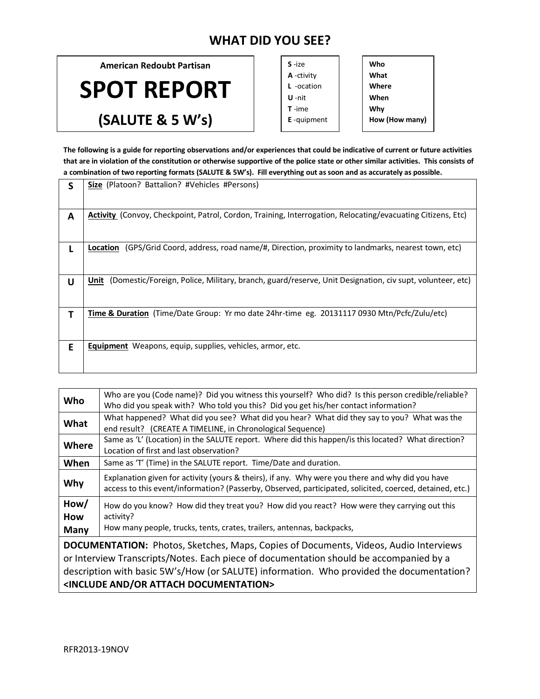## **WHAT DID YOU SEE?**

**American Redoubt Partisan**

**SPOT REPORT**

**(SALUTE & 5 W's)**

| $S - i7e$          |  |
|--------------------|--|
| A -ctivity         |  |
| $L$ -ocation       |  |
| <b>U</b> -nit      |  |
| $T - ime$          |  |
| <b>E</b> -quipment |  |
|                    |  |

**Who What Where When Why How (How many)**

**The following is a guide for reporting observations and/or experiences that could be indicative of current or future activities that are in violation of the constitution or otherwise supportive of the police state or other similar activities. This consists of a combination of two reporting formats (SALUTE & 5W's). Fill everything out as soon and as accurately as possible.** 

|   | Size (Platoon? Battalion? #Vehicles #Persons)                                                                      |
|---|--------------------------------------------------------------------------------------------------------------------|
|   |                                                                                                                    |
| A | <b>Activity</b> (Convoy, Checkpoint, Patrol, Cordon, Training, Interrogation, Relocating/evacuating Citizens, Etc) |
|   | (GPS/Grid Coord, address, road name/#, Direction, proximity to landmarks, nearest town, etc)<br>Location           |
| U | Unit (Domestic/Foreign, Police, Military, branch, guard/reserve, Unit Designation, civ supt, volunteer, etc)       |
|   | <b>Time &amp; Duration</b> (Time/Date Group: Yr mo date 24hr-time eg. 20131117 0930 Mtn/Pcfc/Zulu/etc)             |
| E | <b>Equipment</b> Weapons, equip, supplies, vehicles, armor, etc.                                                   |

| Who                                                                                                                                                                                                                                                                                                                                              | Who are you (Code name)? Did you witness this yourself? Who did? Is this person credible/reliable?<br>Who did you speak with? Who told you this? Did you get his/her contact information?                    |  |
|--------------------------------------------------------------------------------------------------------------------------------------------------------------------------------------------------------------------------------------------------------------------------------------------------------------------------------------------------|--------------------------------------------------------------------------------------------------------------------------------------------------------------------------------------------------------------|--|
| What                                                                                                                                                                                                                                                                                                                                             | What happened? What did you see? What did you hear? What did they say to you? What was the<br>end result? (CREATE A TIMELINE, in Chronological Sequence)                                                     |  |
| Where                                                                                                                                                                                                                                                                                                                                            | Same as 'L' (Location) in the SALUTE report. Where did this happen/is this located? What direction?<br>Location of first and last observation?                                                               |  |
| When                                                                                                                                                                                                                                                                                                                                             | Same as 'T' (Time) in the SALUTE report. Time/Date and duration.                                                                                                                                             |  |
| Why                                                                                                                                                                                                                                                                                                                                              | Explanation given for activity (yours & theirs), if any. Why were you there and why did you have<br>access to this event/information? (Passerby, Observed, participated, solicited, coerced, detained, etc.) |  |
| How/<br>How<br>Many                                                                                                                                                                                                                                                                                                                              | How do you know? How did they treat you? How did you react? How were they carrying out this<br>activity?<br>How many people, trucks, tents, crates, trailers, antennas, backpacks,                           |  |
| <b>DOCUMENTATION:</b> Photos, Sketches, Maps, Copies of Documents, Videos, Audio Interviews<br>or Interview Transcripts/Notes. Each piece of documentation should be accompanied by a<br>description with basic 5W's/How (or SALUTE) information. Who provided the documentation?<br><include and="" attach="" documentation="" or=""></include> |                                                                                                                                                                                                              |  |